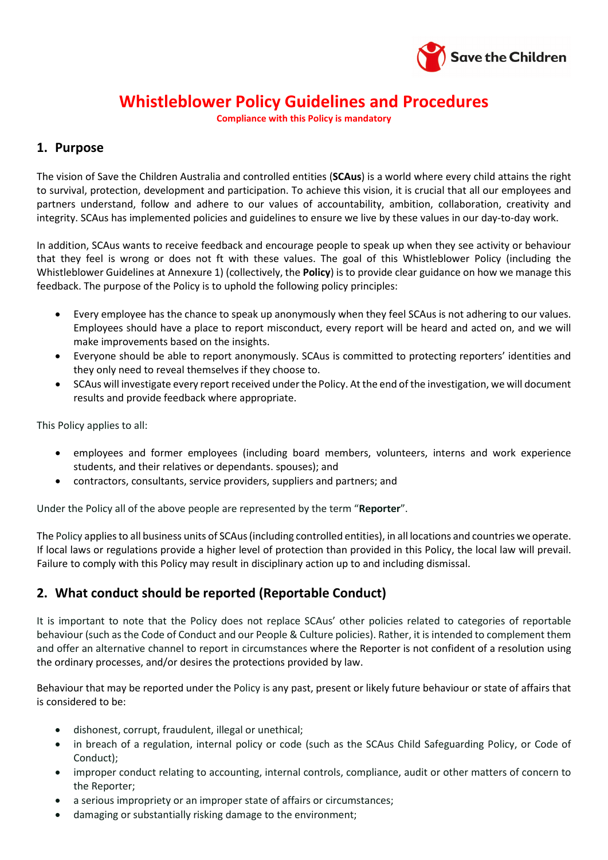

## **Whistleblower Policy Guidelines and Procedures**

**Compliance with this Policy is mandatory**

## **1. Purpose**

The vision of Save the Children Australia and controlled entities (**SCAus**) is a world where every child attains the right to survival, protection, development and participation. To achieve this vision, it is crucial that all our employees and partners understand, follow and adhere to our values of accountability, ambition, collaboration, creativity and integrity. SCAus has implemented policies and guidelines to ensure we live by these values in our day-to-day work.

In addition, SCAus wants to receive feedback and encourage people to speak up when they see activity or behaviour that they feel is wrong or does not ft with these values. The goal of this Whistleblower Policy (including the Whistleblower Guidelines at Annexure 1) (collectively, the **Policy**) is to provide clear guidance on how we manage this feedback. The purpose of the Policy is to uphold the following policy principles:

- Every employee has the chance to speak up anonymously when they feel SCAus is not adhering to our values. Employees should have a place to report misconduct, every report will be heard and acted on, and we will make improvements based on the insights.
- Everyone should be able to report anonymously. SCAus is committed to protecting reporters' identities and they only need to reveal themselves if they choose to.
- SCAus will investigate every report received under the Policy. At the end of the investigation, we will document results and provide feedback where appropriate.

This Policy applies to all:

- employees and former employees (including board members, volunteers, interns and work experience students, and their relatives or dependants. spouses); and
- contractors, consultants, service providers, suppliers and partners; and

Under the Policy all of the above people are represented by the term "**Reporter**".

The Policy applies to all business units of SCAus(including controlled entities), in all locations and countries we operate. If local laws or regulations provide a higher level of protection than provided in this Policy, the local law will prevail. Failure to comply with this Policy may result in disciplinary action up to and including dismissal.

## **2. What conduct should be reported (Reportable Conduct)**

It is important to note that the Policy does not replace SCAus' other policies related to categories of reportable behaviour (such as the Code of Conduct and our People & Culture policies). Rather, it is intended to complement them and offer an alternative channel to report in circumstances where the Reporter is not confident of a resolution using the ordinary processes, and/or desires the protections provided by law.

Behaviour that may be reported under the Policy is any past, present or likely future behaviour or state of affairs that is considered to be:

- dishonest, corrupt, fraudulent, illegal or unethical;
- in breach of a regulation, internal policy or code (such as the SCAus Child Safeguarding Policy, or Code of Conduct);
- improper conduct relating to accounting, internal controls, compliance, audit or other matters of concern to the Reporter;
- a serious impropriety or an improper state of affairs or circumstances;
- damaging or substantially risking damage to the environment;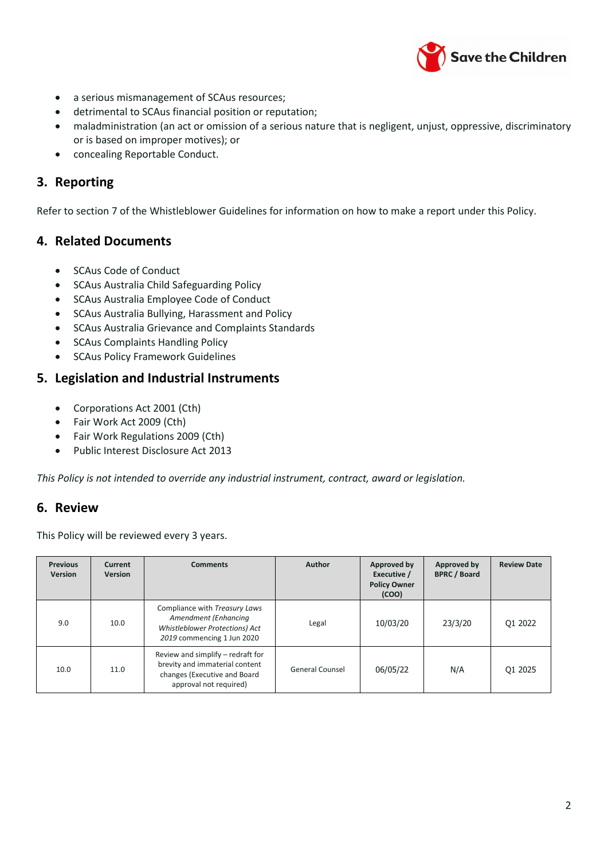

- a serious mismanagement of SCAus resources;
- detrimental to SCAus financial position or reputation;
- maladministration (an act or omission of a serious nature that is negligent, unjust, oppressive, discriminatory or is based on improper motives); or
- concealing Reportable Conduct.

## **3. Reporting**

Refer to section 7 of the Whistleblower Guidelines for information on how to make a report under this Policy.

## **4. Related Documents**

- SCAus Code of Conduct
- SCAus Australia Child Safeguarding Policy
- SCAus Australia Employee Code of Conduct
- SCAus Australia Bullying, Harassment and Policy
- SCAus Australia Grievance and Complaints Standards
- SCAus Complaints Handling Policy
- SCAus Policy Framework Guidelines

## **5. Legislation and Industrial Instruments**

- Corporations Act 2001 (Cth)
- Fair Work Act 2009 (Cth)
- Fair Work Regulations 2009 (Cth)
- Public Interest Disclosure Act 2013

*This Policy is not intended to override any industrial instrument, contract, award or legislation.*

## **6. Review**

This Policy will be reviewed every 3 years.

| <b>Previous</b><br>Version | Current<br><b>Version</b> | <b>Comments</b>                                                                                                               | Author                 | Approved by<br>Executive /<br><b>Policy Owner</b><br>(COO) | Approved by<br><b>BPRC / Board</b> | <b>Review Date</b> |
|----------------------------|---------------------------|-------------------------------------------------------------------------------------------------------------------------------|------------------------|------------------------------------------------------------|------------------------------------|--------------------|
| 9.0                        | 10.0                      | Compliance with Treasury Laws<br>Amendment (Enhancing<br><b>Whistleblower Protections) Act</b><br>2019 commencing 1 Jun 2020  | Legal                  | 10/03/20                                                   | 23/3/20                            | Q1 2022            |
| 10.0                       | 11.0                      | Review and simplify – redraft for<br>brevity and immaterial content<br>changes (Executive and Board<br>approval not required) | <b>General Counsel</b> | 06/05/22                                                   | N/A                                | Q1 2025            |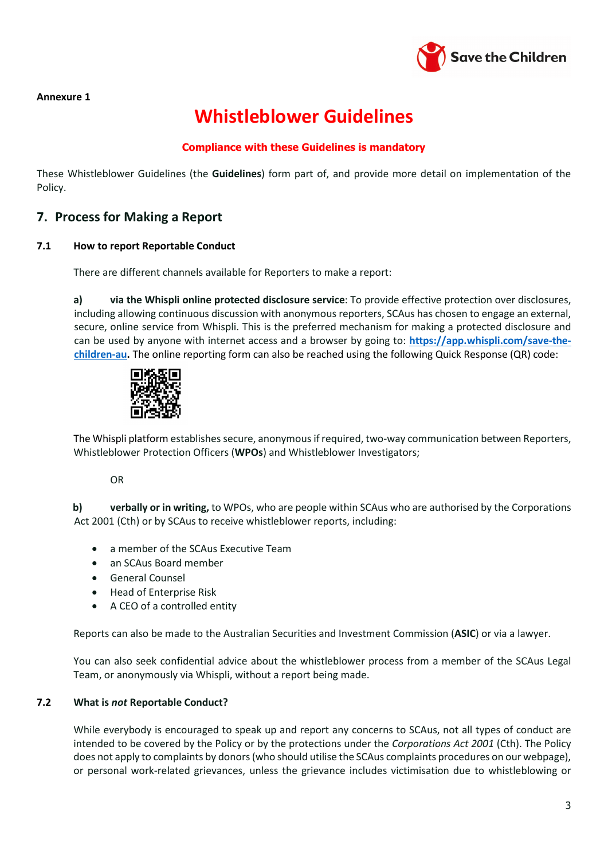

#### **Annexure 1**

# **Whistleblower Guidelines**

### **Compliance with these Guidelines is mandatory**

These Whistleblower Guidelines (the **Guidelines**) form part of, and provide more detail on implementation of the Policy.

## **7. Process for Making a Report**

#### **7.1 How to report Reportable Conduct**

There are different channels available for Reporters to make a report:

**a) via the Whispli online protected disclosure service**: To provide effective protection over disclosures, including allowing continuous discussion with anonymous reporters, SCAus has chosen to engage an external, secure, online service from Whispli. This is the preferred mechanism for making a protected disclosure and can be used by anyone with internet access and a browser by going to: **[https://app.whispli.com/save-the](https://app.whispli.com/save-the-children-au)[children-au.](https://app.whispli.com/save-the-children-au)** The online reporting form can also be reached using the following Quick Response (QR) code:



The Whispli platform establishes secure, anonymous if required, two-way communication between Reporters, Whistleblower Protection Officers (**WPOs**) and Whistleblower Investigators;

OR

**b) verbally or in writing,** to WPOs, who are people within SCAus who are authorised by the Corporations Act 2001 (Cth) or by SCAus to receive whistleblower reports, including:

- a member of the SCAus Executive Team
- an SCAus Board member
- General Counsel
- Head of Enterprise Risk
- A CEO of a controlled entity

Reports can also be made to the Australian Securities and Investment Commission (**ASIC**) or via a lawyer.

You can also seek confidential advice about the whistleblower process from a member of the SCAus Legal Team, or anonymously via Whispli, without a report being made.

#### **7.2 What is** *not* **Reportable Conduct?**

While everybody is encouraged to speak up and report any concerns to SCAus, not all types of conduct are intended to be covered by the Policy or by the protections under the *Corporations Act 2001* (Cth). The Policy does not apply to complaints by donors (who should utilise the SCAus complaints procedures on our webpage), or personal work-related grievances, unless the grievance includes victimisation due to whistleblowing or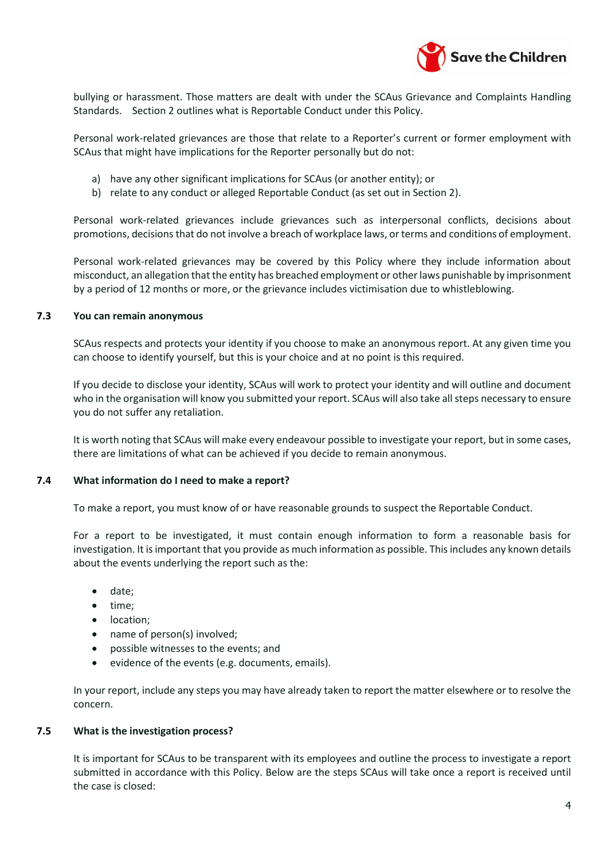

bullying or harassment. Those matters are dealt with under the SCAus Grievance and Complaints Handling Standards. Section 2 outlines what is Reportable Conduct under this Policy.

Personal work-related grievances are those that relate to a Reporter's current or former employment with SCAus that might have implications for the Reporter personally but do not:

- a) have any other significant implications for SCAus (or another entity); or
- b) relate to any conduct or alleged Reportable Conduct (as set out in Section 2).

Personal work-related grievances include grievances such as interpersonal conflicts, decisions about promotions, decisions that do not involve a breach of workplace laws, or terms and conditions of employment.

Personal work-related grievances may be covered by this Policy where they include information about misconduct, an allegation that the entity has breached employment or other laws punishable by imprisonment by a period of 12 months or more, or the grievance includes victimisation due to whistleblowing.

#### **7.3 You can remain anonymous**

SCAus respects and protects your identity if you choose to make an anonymous report. At any given time you can choose to identify yourself, but this is your choice and at no point is this required.

If you decide to disclose your identity, SCAus will work to protect your identity and will outline and document who in the organisation will know you submitted your report. SCAus will also take all steps necessary to ensure you do not suffer any retaliation.

It is worth noting that SCAus will make every endeavour possible to investigate your report, but in some cases, there are limitations of what can be achieved if you decide to remain anonymous.

#### **7.4 What information do I need to make a report?**

To make a report, you must know of or have reasonable grounds to suspect the Reportable Conduct.

For a report to be investigated, it must contain enough information to form a reasonable basis for investigation. It is important that you provide as much information as possible. This includes any known details about the events underlying the report such as the:

- date;
- time;
- location;
- name of person(s) involved;
- possible witnesses to the events; and
- evidence of the events (e.g. documents, emails).

In your report, include any steps you may have already taken to report the matter elsewhere or to resolve the concern.

#### **7.5 What is the investigation process?**

It is important for SCAus to be transparent with its employees and outline the process to investigate a report submitted in accordance with this Policy. Below are the steps SCAus will take once a report is received until the case is closed: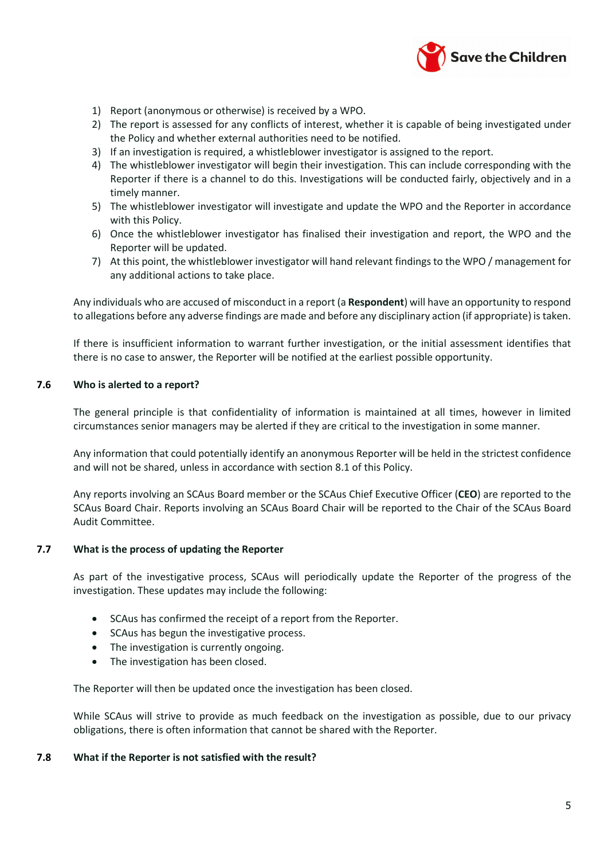

- 1) Report (anonymous or otherwise) is received by a WPO.
- 2) The report is assessed for any conflicts of interest, whether it is capable of being investigated under the Policy and whether external authorities need to be notified.
- 3) If an investigation is required, a whistleblower investigator is assigned to the report.
- 4) The whistleblower investigator will begin their investigation. This can include corresponding with the Reporter if there is a channel to do this. Investigations will be conducted fairly, objectively and in a timely manner.
- 5) The whistleblower investigator will investigate and update the WPO and the Reporter in accordance with this Policy.
- 6) Once the whistleblower investigator has finalised their investigation and report, the WPO and the Reporter will be updated.
- 7) At this point, the whistleblower investigator will hand relevant findings to the WPO / management for any additional actions to take place.

Any individuals who are accused of misconduct in a report (a **Respondent**) will have an opportunity to respond to allegations before any adverse findings are made and before any disciplinary action (if appropriate) is taken.

If there is insufficient information to warrant further investigation, or the initial assessment identifies that there is no case to answer, the Reporter will be notified at the earliest possible opportunity.

#### **7.6 Who is alerted to a report?**

The general principle is that confidentiality of information is maintained at all times, however in limited circumstances senior managers may be alerted if they are critical to the investigation in some manner.

Any information that could potentially identify an anonymous Reporter will be held in the strictest confidence and will not be shared, unless in accordance with section 8.1 of this Policy.

Any reports involving an SCAus Board member or the SCAus Chief Executive Officer (**CEO**) are reported to the SCAus Board Chair. Reports involving an SCAus Board Chair will be reported to the Chair of the SCAus Board Audit Committee.

#### **7.7 What is the process of updating the Reporter**

As part of the investigative process, SCAus will periodically update the Reporter of the progress of the investigation. These updates may include the following:

- SCAus has confirmed the receipt of a report from the Reporter.
- SCAus has begun the investigative process.
- The investigation is currently ongoing.
- The investigation has been closed.

The Reporter will then be updated once the investigation has been closed.

While SCAus will strive to provide as much feedback on the investigation as possible, due to our privacy obligations, there is often information that cannot be shared with the Reporter.

#### **7.8 What if the Reporter is not satisfied with the result?**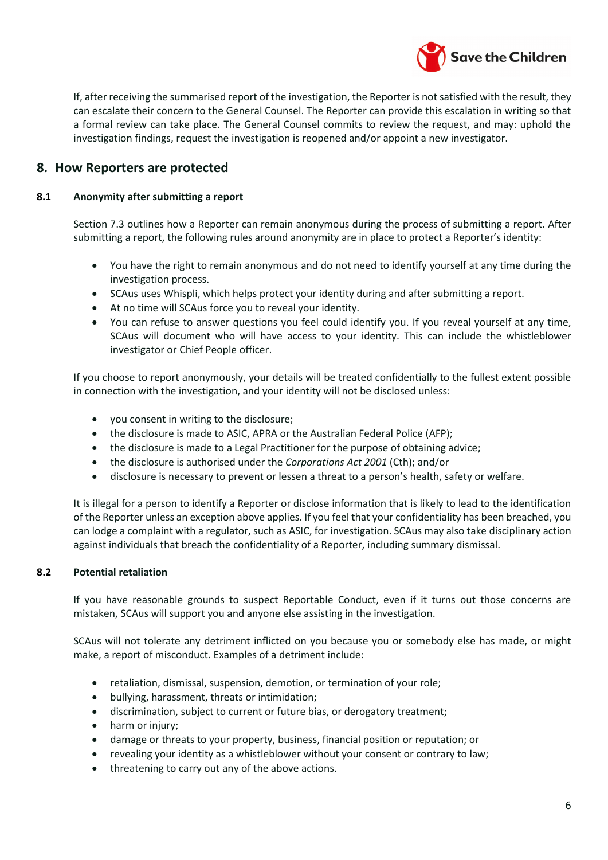

If, after receiving the summarised report of the investigation, the Reporter is not satisfied with the result, they can escalate their concern to the General Counsel. The Reporter can provide this escalation in writing so that a formal review can take place. The General Counsel commits to review the request, and may: uphold the investigation findings, request the investigation is reopened and/or appoint a new investigator.

## **8. How Reporters are protected**

#### **8.1 Anonymity after submitting a report**

Section 7.3 outlines how a Reporter can remain anonymous during the process of submitting a report. After submitting a report, the following rules around anonymity are in place to protect a Reporter's identity:

- You have the right to remain anonymous and do not need to identify yourself at any time during the investigation process.
- SCAus uses Whispli, which helps protect your identity during and after submitting a report.
- At no time will SCAus force you to reveal your identity.
- You can refuse to answer questions you feel could identify you. If you reveal yourself at any time, SCAus will document who will have access to your identity. This can include the whistleblower investigator or Chief People officer.

If you choose to report anonymously, your details will be treated confidentially to the fullest extent possible in connection with the investigation, and your identity will not be disclosed unless:

- you consent in writing to the disclosure;
- the disclosure is made to ASIC, APRA or the Australian Federal Police (AFP);
- the disclosure is made to a Legal Practitioner for the purpose of obtaining advice;
- the disclosure is authorised under the *Corporations Act 2001* (Cth); and/or
- disclosure is necessary to prevent or lessen a threat to a person's health, safety or welfare.

It is illegal for a person to identify a Reporter or disclose information that is likely to lead to the identification of the Reporter unless an exception above applies. If you feel that your confidentiality has been breached, you can lodge a complaint with a regulator, such as ASIC, for investigation. SCAus may also take disciplinary action against individuals that breach the confidentiality of a Reporter, including summary dismissal.

#### **8.2 Potential retaliation**

If you have reasonable grounds to suspect Reportable Conduct, even if it turns out those concerns are mistaken, SCAus will support you and anyone else assisting in the investigation.

SCAus will not tolerate any detriment inflicted on you because you or somebody else has made, or might make, a report of misconduct. Examples of a detriment include:

- retaliation, dismissal, suspension, demotion, or termination of your role;
- bullying, harassment, threats or intimidation;
- discrimination, subject to current or future bias, or derogatory treatment;
- harm or injury;
- damage or threats to your property, business, financial position or reputation; or
- revealing your identity as a whistleblower without your consent or contrary to law;
- threatening to carry out any of the above actions.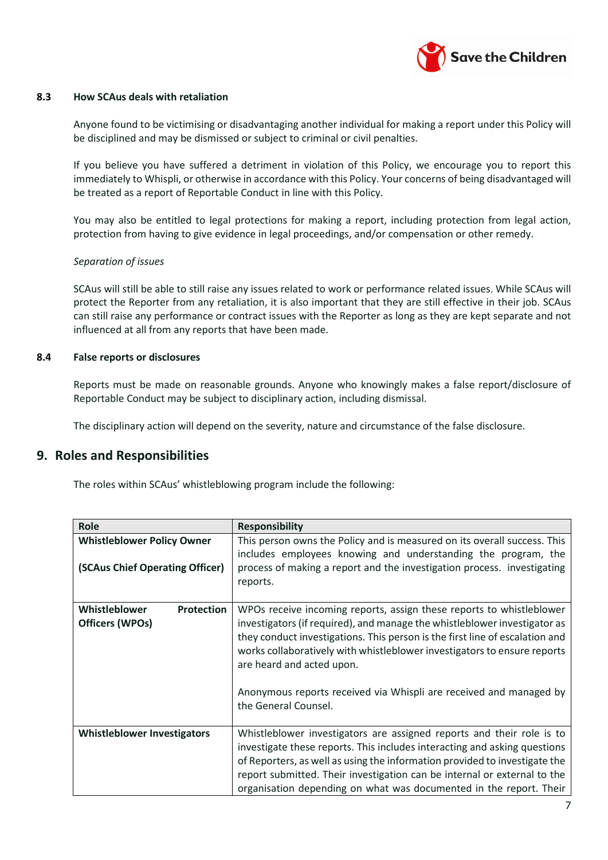

#### **8.3 How SCAus deals with retaliation**

Anyone found to be victimising or disadvantaging another individual for making a report under this Policy will be disciplined and may be dismissed or subject to criminal or civil penalties.

If you believe you have suffered a detriment in violation of this Policy, we encourage you to report this immediately to Whispli, or otherwise in accordance with this Policy. Your concerns of being disadvantaged will be treated as a report of Reportable Conduct in line with this Policy.

You may also be entitled to legal protections for making a report, including protection from legal action, protection from having to give evidence in legal proceedings, and/or compensation or other remedy.

#### *Separation of issues*

SCAus will still be able to still raise any issues related to work or performance related issues. While SCAus will protect the Reporter from any retaliation, it is also important that they are still effective in their job. SCAus can still raise any performance or contract issues with the Reporter as long as they are kept separate and not influenced at all from any reports that have been made.

#### **8.4 False reports or disclosures**

Reports must be made on reasonable grounds. Anyone who knowingly makes a false report/disclosure of Reportable Conduct may be subject to disciplinary action, including dismissal.

The disciplinary action will depend on the severity, nature and circumstance of the false disclosure.

#### **9. Roles and Responsibilities**

The roles within SCAus' whistleblowing program include the following:

| Role                                                                 | <b>Responsibility</b>                                                                                                                                                                                                                                                                                                                                                                                                                    |
|----------------------------------------------------------------------|------------------------------------------------------------------------------------------------------------------------------------------------------------------------------------------------------------------------------------------------------------------------------------------------------------------------------------------------------------------------------------------------------------------------------------------|
| <b>Whistleblower Policy Owner</b><br>(SCAus Chief Operating Officer) | This person owns the Policy and is measured on its overall success. This<br>includes employees knowing and understanding the program, the<br>process of making a report and the investigation process. investigating<br>reports.                                                                                                                                                                                                         |
| Whistleblower<br><b>Protection</b><br>Officers (WPOs)                | WPOs receive incoming reports, assign these reports to whistleblower<br>investigators (if required), and manage the whistleblower investigator as<br>they conduct investigations. This person is the first line of escalation and<br>works collaboratively with whistleblower investigators to ensure reports<br>are heard and acted upon.<br>Anonymous reports received via Whispli are received and managed by<br>the General Counsel. |
| <b>Whistleblower Investigators</b>                                   | Whistleblower investigators are assigned reports and their role is to<br>investigate these reports. This includes interacting and asking questions<br>of Reporters, as well as using the information provided to investigate the<br>report submitted. Their investigation can be internal or external to the<br>organisation depending on what was documented in the report. Their                                                       |